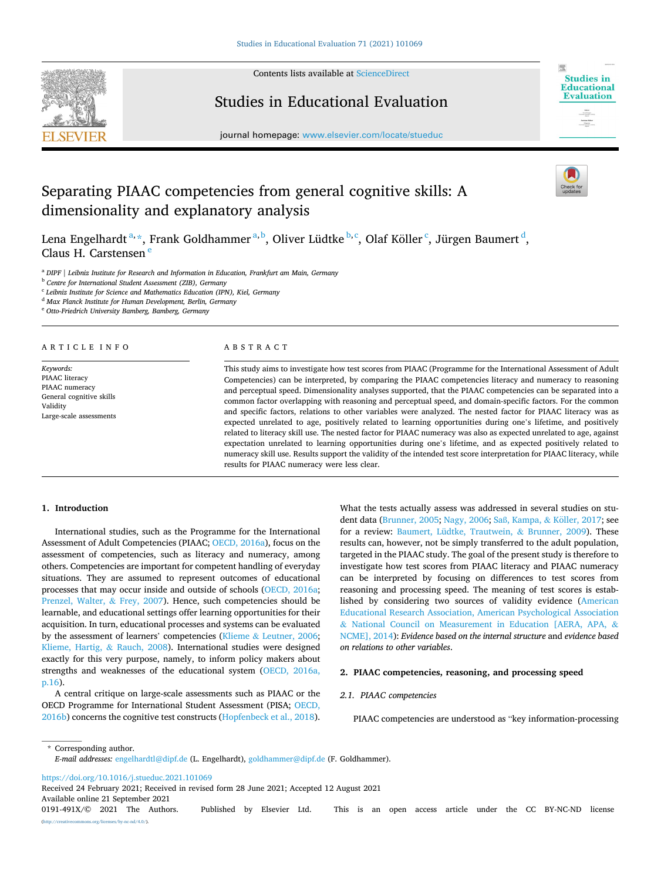

Contents lists available at [ScienceDirect](www.sciencedirect.com/science/journal/0191491X)

# Studies in Educational Evaluation



journal homepage: [www.elsevier.com/locate/stueduc](https://www.elsevier.com/locate/stueduc)

# Separating PIAAC competencies from general cognitive skills: A dimensionality and explanatory analysis

Lena Engelhardt <sup>a, \*</sup>, Frank Goldhammer <sup>a, b</sup>, Oliver Lüdtke <sup>b, c</sup>, Olaf Köller <sup>c</sup>, Jürgen Baumert <sup>d</sup>, Claus H. Carstensen<sup>e</sup>

<sup>a</sup> *DIPF | Leibniz Institute for Research and Information in Education, Frankfurt am Main, Germany* 

<sup>b</sup> *Centre for International Student Assessment (ZIB), Germany* 

<sup>c</sup> *Leibniz Institute for Science and Mathematics Education (IPN), Kiel, Germany* 

<sup>d</sup> *Max Planck Institute for Human Development, Berlin, Germany* 

<sup>e</sup> *Otto-Friedrich University Bamberg, Bamberg, Germany* 

#### ARTICLE INFO

*Keywords:*  PIAAC literacy PIAAC numeracy General cognitive skills Validity Large-scale assessments

## ABSTRACT

This study aims to investigate how test scores from PIAAC (Programme for the International Assessment of Adult Competencies) can be interpreted, by comparing the PIAAC competencies literacy and numeracy to reasoning and perceptual speed. Dimensionality analyses supported, that the PIAAC competencies can be separated into a common factor overlapping with reasoning and perceptual speed, and domain-specific factors. For the common and specific factors, relations to other variables were analyzed. The nested factor for PIAAC literacy was as expected unrelated to age, positively related to learning opportunities during one's lifetime, and positively related to literacy skill use. The nested factor for PIAAC numeracy was also as expected unrelated to age, against expectation unrelated to learning opportunities during one's lifetime, and as expected positively related to numeracy skill use. Results support the validity of the intended test score interpretation for PIAAC literacy, while results for PIAAC numeracy were less clear.

## **1. Introduction**

International studies, such as the Programme for the International Assessment of Adult Competencies (PIAAC; [OECD, 2016a\)](#page-8-0), focus on the assessment of competencies, such as literacy and numeracy, among others. Competencies are important for competent handling of everyday situations. They are assumed to represent outcomes of educational processes that may occur inside and outside of schools ([OECD, 2016a](#page-8-0); [Prenzel, Walter,](#page-8-0) & Frey, 2007). Hence, such competencies should be learnable, and educational settings offer learning opportunities for their acquisition. In turn, educational processes and systems can be evaluated by the assessment of learners' competencies (Klieme & [Leutner, 2006](#page-8-0); [Klieme, Hartig,](#page-8-0) & Rauch, 2008). International studies were designed exactly for this very purpose, namely, to inform policy makers about strengths and weaknesses of the educational system [\(OECD, 2016a,](#page-8-0)  [p.16](#page-8-0)).

A central critique on large-scale assessments such as PIAAC or the OECD Programme for International Student Assessment (PISA; [OECD,](#page-8-0)  [2016b\)](#page-8-0) concerns the cognitive test constructs [\(Hopfenbeck et al., 2018](#page-7-0)). What the tests actually assess was addressed in several studies on stu-dent data ([Brunner, 2005;](#page-7-0) [Nagy, 2006;](#page-8-0) Saß[, Kampa,](#page-8-0) & Köller, 2017; see for a review: [Baumert, Lüdtke, Trautwein,](#page-7-0) & Brunner, 2009). These results can, however, not be simply transferred to the adult population, targeted in the PIAAC study. The goal of the present study is therefore to investigate how test scores from PIAAC literacy and PIAAC numeracy can be interpreted by focusing on differences to test scores from reasoning and processing speed. The meaning of test scores is established by considering two sources of validity evidence ([American](#page-7-0)  [Educational Research Association, American Psychological Association](#page-7-0)  & [National Council on Measurement in Education \[AERA, APA,](#page-7-0) & [NCME\], 2014](#page-7-0)): *Evidence based on the internal structure* and *evidence based on relations to other variables*.

## **2. PIAAC competencies, reasoning, and processing speed**

## *2.1. PIAAC competencies*

PIAAC competencies are understood as "key information-processing

\* Corresponding author. *E-mail addresses:* [engelhardtl@dipf.de](mailto:engelhardtl@dipf.de) (L. Engelhardt), [goldhammer@dipf.de](mailto:goldhammer@dipf.de) (F. Goldhammer).

<https://doi.org/10.1016/j.stueduc.2021.101069>

Available online 21 September 2021 Received 24 February 2021; Received in revised form 28 June 2021; Accepted 12 August 2021

0191-491X/© 2021 The Authors. Published by Elsevier Ltd. This is an open access article under the CC BY-NC-ND license [\(http://creativecommons.org/licenses/by-nc-nd/4.0/\)](http://creativecommons.org/licenses/by-nc-nd/4.0/).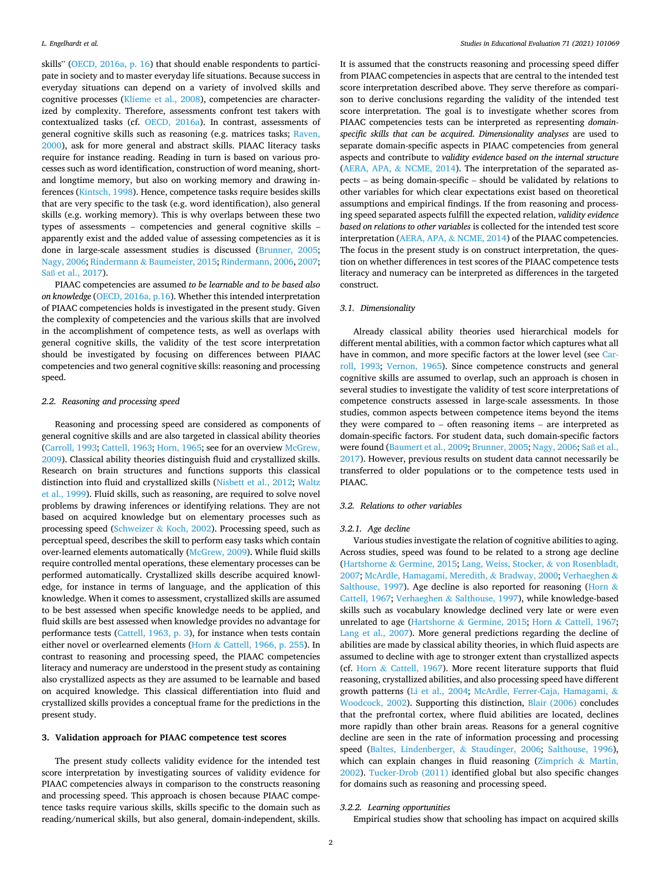skills" [\(OECD, 2016a, p. 16](#page-8-0)) that should enable respondents to participate in society and to master everyday life situations. Because success in everyday situations can depend on a variety of involved skills and cognitive processes ([Klieme et al., 2008\)](#page-8-0), competencies are characterized by complexity. Therefore, assessments confront test takers with contextualized tasks (cf. [OECD, 2016a](#page-8-0)). In contrast, assessments of general cognitive skills such as reasoning (e.g. matrices tasks; [Raven,](#page-8-0)  [2000\)](#page-8-0), ask for more general and abstract skills. PIAAC literacy tasks require for instance reading. Reading in turn is based on various processes such as word identification, construction of word meaning, shortand longtime memory, but also on working memory and drawing inferences [\(Kintsch, 1998\)](#page-7-0). Hence, competence tasks require besides skills that are very specific to the task (e.g. word identification), also general skills (e.g. working memory). This is why overlaps between these two types of assessments – competencies and general cognitive skills – apparently exist and the added value of assessing competencies as it is done in large-scale assessment studies is discussed [\(Brunner, 2005](#page-7-0); [Nagy, 2006;](#page-8-0) Rindermann & [Baumeister, 2015; Rindermann, 2006, 2007](#page-8-0); Saß [et al., 2017](#page-8-0)).

PIAAC competencies are assumed *to be learnable and to be based also on knowledge* ([OECD, 2016a, p.16\)](#page-8-0). Whether this intended interpretation of PIAAC competencies holds is investigated in the present study. Given the complexity of competencies and the various skills that are involved in the accomplishment of competence tests, as well as overlaps with general cognitive skills, the validity of the test score interpretation should be investigated by focusing on differences between PIAAC competencies and two general cognitive skills: reasoning and processing speed.

## *2.2. Reasoning and processing speed*

Reasoning and processing speed are considered as components of general cognitive skills and are also targeted in classical ability theories ([Carroll, 1993](#page-7-0); [Cattell, 1963](#page-7-0); [Horn, 1965;](#page-7-0) see for an overview [McGrew,](#page-8-0)  [2009\)](#page-8-0). Classical ability theories distinguish fluid and crystallized skills. Research on brain structures and functions supports this classical distinction into fluid and crystallized skills [\(Nisbett et al., 2012; Waltz](#page-8-0)  [et al., 1999\)](#page-8-0). Fluid skills, such as reasoning, are required to solve novel problems by drawing inferences or identifying relations. They are not based on acquired knowledge but on elementary processes such as processing speed (Schweizer & [Koch, 2002](#page-8-0)). Processing speed, such as perceptual speed, describes the skill to perform easy tasks which contain over-learned elements automatically ([McGrew, 2009](#page-8-0)). While fluid skills require controlled mental operations, these elementary processes can be performed automatically. Crystallized skills describe acquired knowledge, for instance in terms of language, and the application of this knowledge. When it comes to assessment, crystallized skills are assumed to be best assessed when specific knowledge needs to be applied, and fluid skills are best assessed when knowledge provides no advantage for performance tests ([Cattell, 1963, p. 3](#page-7-0)), for instance when tests contain either novel or overlearned elements (Horn & [Cattell, 1966, p. 255](#page-7-0)). In contrast to reasoning and processing speed, the PIAAC competencies literacy and numeracy are understood in the present study as containing also crystallized aspects as they are assumed to be learnable and based on acquired knowledge. This classical differentiation into fluid and crystallized skills provides a conceptual frame for the predictions in the present study.

#### **3. Validation approach for PIAAC competence test scores**

The present study collects validity evidence for the intended test score interpretation by investigating sources of validity evidence for PIAAC competencies always in comparison to the constructs reasoning and processing speed. This approach is chosen because PIAAC competence tasks require various skills, skills specific to the domain such as reading/numerical skills, but also general, domain-independent, skills.

It is assumed that the constructs reasoning and processing speed differ from PIAAC competencies in aspects that are central to the intended test score interpretation described above. They serve therefore as comparison to derive conclusions regarding the validity of the intended test score interpretation. The goal is to investigate whether scores from PIAAC competencies tests can be interpreted as representing *domainspecific skills that can be acquired*. *Dimensionality analyses* are used to separate domain-specific aspects in PIAAC competencies from general aspects and contribute to *validity evidence based on the internal structure*  (AERA, APA, & [NCME, 2014\)](#page-7-0). The interpretation of the separated aspects – as being domain-specific – should be validated by relations to other variables for which clear expectations exist based on theoretical assumptions and empirical findings. If the from reasoning and processing speed separated aspects fulfill the expected relation, *validity evidence based on relations to other variables* is collected for the intended test score interpretation [\(AERA, APA,](#page-7-0) & NCME, 2014) of the PIAAC competencies. The focus in the present study is on construct interpretation, the question on whether differences in test scores of the PIAAC competence tests literacy and numeracy can be interpreted as differences in the targeted construct.

## *3.1. Dimensionality*

Already classical ability theories used hierarchical models for different mental abilities, with a common factor which captures what all have in common, and more specific factors at the lower level (see [Car](#page-7-0)[roll, 1993;](#page-7-0) [Vernon, 1965](#page-8-0)). Since competence constructs and general cognitive skills are assumed to overlap, such an approach is chosen in several studies to investigate the validity of test score interpretations of competence constructs assessed in large-scale assessments. In those studies, common aspects between competence items beyond the items they were compared to – often reasoning items – are interpreted as domain-specific factors. For student data, such domain-specific factors were found ([Baumert et al., 2009; Brunner, 2005](#page-7-0); [Nagy, 2006](#page-8-0); Saß [et al.,](#page-8-0)  [2017\)](#page-8-0). However, previous results on student data cannot necessarily be transferred to older populations or to the competence tests used in PIAAC.

## *3.2. Relations to other variables*

#### *3.2.1. Age decline*

Various studies investigate the relation of cognitive abilities to aging. Across studies, speed was found to be related to a strong age decline (Hartshorne & [Germine, 2015](#page-7-0); [Lang, Weiss, Stocker,](#page-8-0) & von Rosenbladt, [2007; McArdle, Hamagami, Meredith,](#page-8-0) & Bradway, 2000; [Verhaeghen](#page-8-0) & [Salthouse, 1997\)](#page-8-0). Age decline is also reported for reasoning [\(Horn](#page-7-0)  $\&$ [Cattell, 1967](#page-7-0); Verhaeghen & [Salthouse, 1997](#page-8-0)), while knowledge-based skills such as vocabulary knowledge declined very late or were even unrelated to age (Hartshorne & [Germine, 2015;](#page-7-0) Horn & [Cattell, 1967](#page-7-0); [Lang et al., 2007\)](#page-8-0). More general predictions regarding the decline of abilities are made by classical ability theories, in which fluid aspects are assumed to decline with age to stronger extent than crystallized aspects (cf. Horn & [Cattell, 1967\)](#page-7-0). More recent literature supports that fluid reasoning, crystallized abilities, and also processing speed have different growth patterns ([Li et al., 2004;](#page-8-0) [McArdle, Ferrer-Caja, Hamagami,](#page-8-0) & [Woodcock, 2002\)](#page-8-0). Supporting this distinction, [Blair \(2006\)](#page-7-0) concludes that the prefrontal cortex, where fluid abilities are located, declines more rapidly than other brain areas. Reasons for a general cognitive decline are seen in the rate of information processing and processing speed ([Baltes, Lindenberger,](#page-7-0) & Staudinger, 2006; [Salthouse, 1996](#page-8-0)), which can explain changes in fluid reasoning ([Zimprich](#page-8-0) & Martin, [2002\)](#page-8-0). [Tucker-Drob \(2011\)](#page-8-0) identified global but also specific changes for domains such as reasoning and processing speed.

## *3.2.2. Learning opportunities*

Empirical studies show that schooling has impact on acquired skills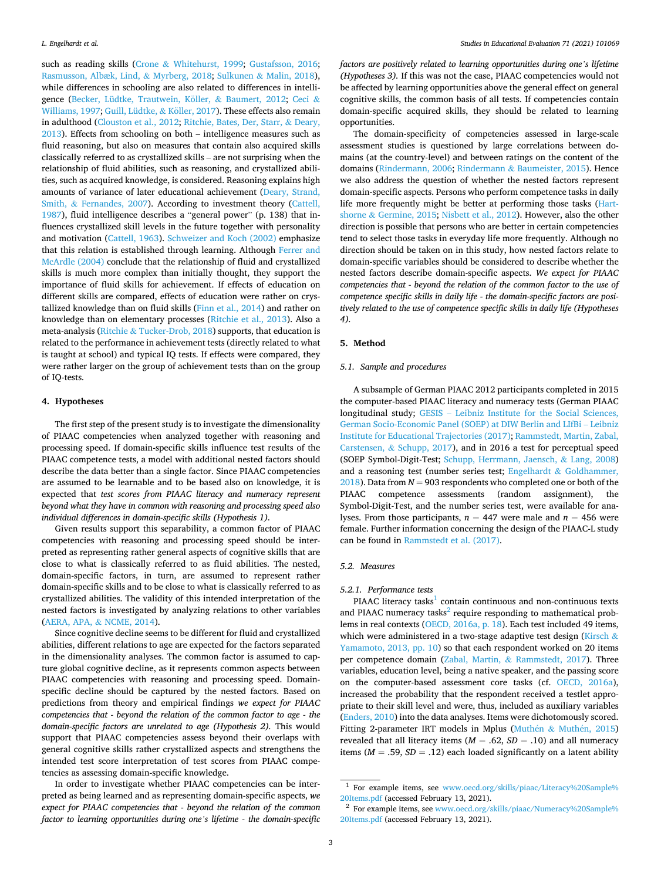such as reading skills (Crone & [Whitehurst, 1999](#page-7-0); [Gustafsson, 2016](#page-7-0); [Rasmusson, Albæk, Lind,](#page-8-0) & Myrberg, 2018; Sulkunen & [Malin, 2018](#page-8-0)), while differences in schooling are also related to differences in intelli-gence (Becker, Lüdtke, Trautwein, Köller, & Baumert, 2012; [Ceci](#page-7-0) & [Williams, 1997; Guill, Lüdtke,](#page-7-0) & Köller, 2017). These effects also remain in adulthood ([Clouston et al., 2012](#page-7-0); [Ritchie, Bates, Der, Starr,](#page-8-0) & Deary, [2013\)](#page-8-0). Effects from schooling on both – intelligence measures such as fluid reasoning, but also on measures that contain also acquired skills classically referred to as crystallized skills – are not surprising when the relationship of fluid abilities, such as reasoning, and crystallized abilities, such as acquired knowledge, is considered. Reasoning explains high amounts of variance of later educational achievement [\(Deary, Strand,](#page-7-0)  Smith, & [Fernandes, 2007](#page-7-0)). According to investment theory [\(Cattell,](#page-7-0)  [1987\)](#page-7-0), fluid intelligence describes a "general power" (p. 138) that influences crystallized skill levels in the future together with personality and motivation [\(Cattell, 1963](#page-7-0)). [Schweizer and Koch \(2002\)](#page-8-0) emphasize that this relation is established through learning. Although [Ferrer and](#page-7-0)  [McArdle \(2004\)](#page-7-0) conclude that the relationship of fluid and crystallized skills is much more complex than initially thought, they support the importance of fluid skills for achievement. If effects of education on different skills are compared, effects of education were rather on crystallized knowledge than on fluid skills [\(Finn et al., 2014](#page-7-0)) and rather on knowledge than on elementary processes ([Ritchie et al., 2013\)](#page-8-0). Also a meta-analysis (Ritchie & [Tucker-Drob, 2018\)](#page-8-0) supports, that education is related to the performance in achievement tests (directly related to what is taught at school) and typical IQ tests. If effects were compared, they were rather larger on the group of achievement tests than on the group of IQ-tests.

## **4. Hypotheses**

The first step of the present study is to investigate the dimensionality of PIAAC competencies when analyzed together with reasoning and processing speed. If domain-specific skills influence test results of the PIAAC competence tests, a model with additional nested factors should describe the data better than a single factor. Since PIAAC competencies are assumed to be learnable and to be based also on knowledge, it is expected that *test scores from PIAAC literacy and numeracy represent beyond what they have in common with reasoning and processing speed also individual differences in domain-specific skills (Hypothesis 1).* 

Given results support this separability, a common factor of PIAAC competencies with reasoning and processing speed should be interpreted as representing rather general aspects of cognitive skills that are close to what is classically referred to as fluid abilities. The nested, domain-specific factors, in turn, are assumed to represent rather domain-specific skills and to be close to what is classically referred to as crystallized abilities. The validity of this intended interpretation of the nested factors is investigated by analyzing relations to other variables ([AERA, APA,](#page-7-0) & NCME, 2014).

Since cognitive decline seems to be different for fluid and crystallized abilities, different relations to age are expected for the factors separated in the dimensionality analyses. The common factor is assumed to capture global cognitive decline, as it represents common aspects between PIAAC competencies with reasoning and processing speed. Domainspecific decline should be captured by the nested factors. Based on predictions from theory and empirical findings *we expect for PIAAC competencies that - beyond the relation of the common factor to age - the domain-specific factors are unrelated to age (Hypothesis 2).* This would support that PIAAC competencies assess beyond their overlaps with general cognitive skills rather crystallized aspects and strengthens the intended test score interpretation of test scores from PIAAC competencies as assessing domain-specific knowledge.

In order to investigate whether PIAAC competencies can be interpreted as being learned and as representing domain-specific aspects, *we expect for PIAAC competencies that - beyond the relation of the common factor to learning opportunities during one's lifetime - the domain-specific*  *factors are positively related to learning opportunities during one's lifetime (Hypotheses 3).* If this was not the case, PIAAC competencies would not be affected by learning opportunities above the general effect on general cognitive skills, the common basis of all tests. If competencies contain domain-specific acquired skills, they should be related to learning opportunities.

The domain-specificity of competencies assessed in large-scale assessment studies is questioned by large correlations between domains (at the country-level) and between ratings on the content of the domains ([Rindermann, 2006;](#page-8-0) Rindermann & [Baumeister, 2015](#page-8-0)). Hence we also address the question of whether the nested factors represent domain-specific aspects. Persons who perform competence tasks in daily life more frequently might be better at performing those tasks [\(Hart](#page-7-0)shorne & [Germine, 2015;](#page-7-0) [Nisbett et al., 2012\)](#page-8-0). However, also the other direction is possible that persons who are better in certain competencies tend to select those tasks in everyday life more frequently. Although no direction should be taken on in this study, how nested factors relate to domain-specific variables should be considered to describe whether the nested factors describe domain-specific aspects. *We expect for PIAAC competencies that - beyond the relation of the common factor to the use of competence specific skills in daily life - the domain-specific factors are positively related to the use of competence specific skills in daily life (Hypotheses 4).* 

## **5. Method**

## *5.1. Sample and procedures*

A subsample of German PIAAC 2012 participants completed in 2015 the computer-based PIAAC literacy and numeracy tests (German PIAAC longitudinal study; GESIS – [Leibniz Institute for the Social Sciences,](#page-7-0)  [German Socio-Economic Panel \(SOEP\) at DIW Berlin and LIfBi](#page-7-0) – Leibniz [Institute for Educational Trajectories \(2017\)](#page-7-0); [Rammstedt, Martin, Zabal,](#page-8-0)  Carstensen, & [Schupp, 2017\)](#page-8-0), and in 2016 a test for perceptual speed (SOEP Symbol-Digit-Test; [Schupp, Herrmann, Jaensch,](#page-8-0) & Lang, 2008) and a reasoning test (number series test; Engelhardt  $&$  Goldhammer, [2018\)](#page-7-0). Data from  $N = 903$  respondents who completed one or both of the PIAAC competence assessments (random assignment), the Symbol-Digit-Test, and the number series test, were available for analyses. From those participants,  $n = 447$  were male and  $n = 456$  were female. Further information concerning the design of the PIAAC-L study can be found in [Rammstedt et al. \(2017\)](#page-8-0).

## *5.2. Measures*

#### *5.2.1. Performance tests*

PIAAC literacy tasks $<sup>1</sup>$  contain continuous and non-continuous texts</sup> and PIAAC numeracy tasks<sup>2</sup> require responding to mathematical problems in real contexts [\(OECD, 2016a, p. 18](#page-8-0)). Each test included 49 items, which were administered in a two-stage adaptive test design ([Kirsch](#page-8-0)  $\&$ [Yamamoto, 2013, pp. 10\)](#page-8-0) so that each respondent worked on 20 items per competence domain (Zabal, Martin, & [Rammstedt, 2017\)](#page-8-0). Three variables, education level, being a native speaker, and the passing score on the computer-based assessment core tasks (cf. [OECD, 2016a](#page-8-0)), increased the probability that the respondent received a testlet appropriate to their skill level and were, thus, included as auxiliary variables ([Enders, 2010](#page-7-0)) into the data analyses. Items were dichotomously scored. Fitting 2-parameter IRT models in Mplus (Muthén & Muthén, 2015) revealed that all literacy items ( $M = .62$ ,  $SD = .10$ ) and all numeracy items ( $M = .59$ ,  $SD = .12$ ) each loaded significantly on a latent ability

<sup>&</sup>lt;sup>1</sup> For example items, see www.oecd.org/skills/piaac/Literacy%20Sample% [20Items.pdf](http://www.oecd.org/skills/piaac/Literacy%20Sample%20Items.pdf) (accessed February 13, 2021). 2 For example items, see [www.oecd.org/skills/piaac/Numeracy%20Sample%](http://www.oecd.org/skills/piaac/Numeracy%20Sample%20Items.pdf) 

[<sup>20</sup>Items.pdf](http://www.oecd.org/skills/piaac/Numeracy%20Sample%20Items.pdf) (accessed February 13, 2021).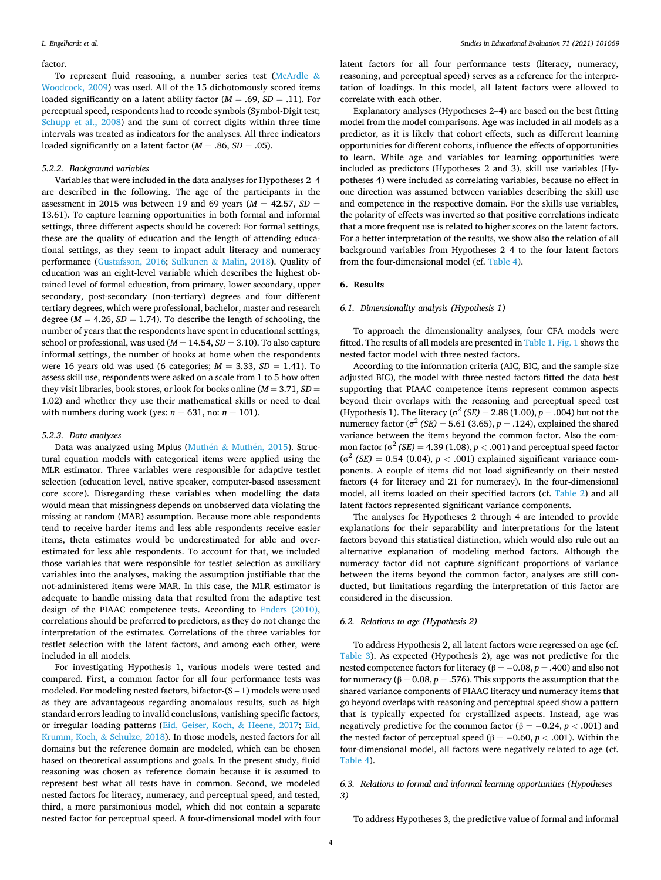#### factor.

To represent fluid reasoning, a number series test ([McArdle](#page-8-0)  $\&$ [Woodcock, 2009](#page-8-0)) was used. All of the 15 dichotomously scored items loaded significantly on a latent ability factor  $(M = .69, SD = .11)$ . For perceptual speed, respondents had to recode symbols (Symbol-Digit test; [Schupp et al., 2008\)](#page-8-0) and the sum of correct digits within three time intervals was treated as indicators for the analyses. All three indicators loaded significantly on a latent factor  $(M = .86, SD = .05)$ .

#### *5.2.2. Background variables*

Variables that were included in the data analyses for Hypotheses 2–4 are described in the following. The age of the participants in the assessment in 2015 was between 19 and 69 years (*M* = 42.57, *SD* = 13.61). To capture learning opportunities in both formal and informal settings, three different aspects should be covered: For formal settings, these are the quality of education and the length of attending educational settings, as they seem to impact adult literacy and numeracy performance [\(Gustafsson, 2016](#page-7-0); Sulkunen & [Malin, 2018\)](#page-8-0). Quality of education was an eight-level variable which describes the highest obtained level of formal education, from primary, lower secondary, upper secondary, post-secondary (non-tertiary) degrees and four different tertiary degrees, which were professional, bachelor, master and research degree ( $M = 4.26$ ,  $SD = 1.74$ ). To describe the length of schooling, the number of years that the respondents have spent in educational settings, school or professional, was used (*M* = 14.54, *SD* = 3.10). To also capture informal settings, the number of books at home when the respondents were 16 years old was used (6 categories;  $M = 3.33$ ,  $SD = 1.41$ ). To assess skill use, respondents were asked on a scale from 1 to 5 how often they visit libraries, book stores, or look for books online (*M* = 3.71, *SD* = 1.02) and whether they use their mathematical skills or need to deal with numbers during work (yes:  $n = 631$ , no:  $n = 101$ ).

#### *5.2.3. Data analyses*

Data was analyzed using Mplus (Muthén & Muthén, 2015). Structural equation models with categorical items were applied using the MLR estimator. Three variables were responsible for adaptive testlet selection (education level, native speaker, computer-based assessment core score). Disregarding these variables when modelling the data would mean that missingness depends on unobserved data violating the missing at random (MAR) assumption. Because more able respondents tend to receive harder items and less able respondents receive easier items, theta estimates would be underestimated for able and overestimated for less able respondents. To account for that, we included those variables that were responsible for testlet selection as auxiliary variables into the analyses, making the assumption justifiable that the not-administered items were MAR. In this case, the MLR estimator is adequate to handle missing data that resulted from the adaptive test design of the PIAAC competence tests. According to [Enders \(2010\)](#page-7-0), correlations should be preferred to predictors, as they do not change the interpretation of the estimates. Correlations of the three variables for testlet selection with the latent factors, and among each other, were included in all models.

For investigating Hypothesis 1, various models were tested and compared. First, a common factor for all four performance tests was modeled. For modeling nested factors, bifactor-(S – 1) models were used as they are advantageous regarding anomalous results, such as high standard errors leading to invalid conclusions, vanishing specific factors, or irregular loading patterns ([Eid, Geiser, Koch,](#page-7-0) & Heene, 2017; [Eid,](#page-7-0)  [Krumm, Koch,](#page-7-0) & Schulze, 2018). In those models, nested factors for all domains but the reference domain are modeled, which can be chosen based on theoretical assumptions and goals. In the present study, fluid reasoning was chosen as reference domain because it is assumed to represent best what all tests have in common. Second, we modeled nested factors for literacy, numeracy, and perceptual speed, and tested, third, a more parsimonious model, which did not contain a separate nested factor for perceptual speed. A four-dimensional model with four

latent factors for all four performance tests (literacy, numeracy, reasoning, and perceptual speed) serves as a reference for the interpretation of loadings. In this model, all latent factors were allowed to correlate with each other.

Explanatory analyses (Hypotheses 2–4) are based on the best fitting model from the model comparisons. Age was included in all models as a predictor, as it is likely that cohort effects, such as different learning opportunities for different cohorts, influence the effects of opportunities to learn. While age and variables for learning opportunities were included as predictors (Hypotheses 2 and 3), skill use variables (Hypotheses 4) were included as correlating variables, because no effect in one direction was assumed between variables describing the skill use and competence in the respective domain. For the skills use variables, the polarity of effects was inverted so that positive correlations indicate that a more frequent use is related to higher scores on the latent factors. For a better interpretation of the results, we show also the relation of all background variables from Hypotheses 2–4 to the four latent factors from the four-dimensional model (cf. [Table 4\)](#page-5-0).

## **6. Results**

## *6.1. Dimensionality analysis (Hypothesis 1)*

To approach the dimensionality analyses, four CFA models were fitted. The results of all models are presented in [Table 1](#page-4-0). [Fig. 1](#page-4-0) shows the nested factor model with three nested factors.

According to the information criteria (AIC, BIC, and the sample-size adjusted BIC), the model with three nested factors fitted the data best supporting that PIAAC competence items represent common aspects beyond their overlaps with the reasoning and perceptual speed test (Hypothesis 1). The literacy ( $σ^2$  *(SE)* = 2.88 (1.00), *p* = .004) but not the numeracy factor (σ<sup>2</sup> *(SE)* = 5.61 (3.65), *p* = .124), explained the shared variance between the items beyond the common factor. Also the common factor ( $\sigma^2$  *(SE)* = 4.39 (1.08), *p* < .001) and perceptual speed factor  $(\sigma^2 \text{ (SE)} = 0.54 \text{ (0.04)}, p < .001)$  explained significant variance components. A couple of items did not load significantly on their nested factors (4 for literacy and 21 for numeracy). In the four-dimensional model, all items loaded on their specified factors (cf. [Table 2](#page-4-0)) and all latent factors represented significant variance components.

The analyses for Hypotheses 2 through 4 are intended to provide explanations for their separability and interpretations for the latent factors beyond this statistical distinction, which would also rule out an alternative explanation of modeling method factors. Although the numeracy factor did not capture significant proportions of variance between the items beyond the common factor, analyses are still conducted, but limitations regarding the interpretation of this factor are considered in the discussion.

## *6.2. Relations to age (Hypothesis 2)*

To address Hypothesis 2, all latent factors were regressed on age (cf. [Table 3\)](#page-5-0). As expected (Hypothesis 2), age was not predictive for the nested competence factors for literacy (β = − 0.08, *p* = .400) and also not for numeracy ( $\beta = 0.08$ ,  $p = .576$ ). This supports the assumption that the shared variance components of PIAAC literacy und numeracy items that go beyond overlaps with reasoning and perceptual speed show a pattern that is typically expected for crystallized aspects. Instead, age was negatively predictive for the common factor ( $β = -0.24, p < .001$ ) and the nested factor of perceptual speed ( $β = -0.60, p < .001$ ). Within the four-dimensional model, all factors were negatively related to age (cf. [Table 4](#page-5-0)).

## *6.3. Relations to formal and informal learning opportunities (Hypotheses 3)*

To address Hypotheses 3, the predictive value of formal and informal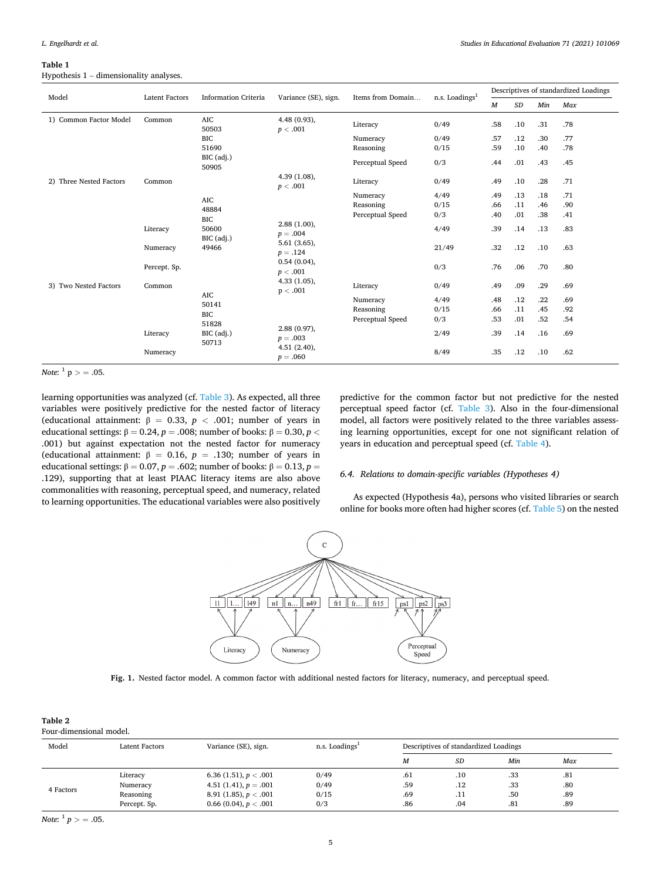## <span id="page-4-0"></span>**Table 1**  Hypothesis 1 – dimensionality analyses.

| Model                   | <b>Latent Factors</b> | <b>Information Criteria</b> | Variance (SE), sign.       | Items from Domain | n.s. Loadings <sup>1</sup> |                  |           |     | Descriptives of standardized Loadings |
|-------------------------|-----------------------|-----------------------------|----------------------------|-------------------|----------------------------|------------------|-----------|-----|---------------------------------------|
|                         |                       |                             |                            |                   |                            | $\boldsymbol{M}$ | $\cal SD$ | Min | Max                                   |
| 1) Common Factor Model  | Common                | <b>AIC</b><br>50503         | $4.48(0.93)$ ,<br>p < .001 | Literacy          | 0/49                       | .58              | .10       | .31 | .78                                   |
|                         |                       | <b>BIC</b>                  |                            | Numeracy          | 0/49                       | .57              | .12       | .30 | .77                                   |
|                         |                       | 51690                       |                            | Reasoning         | 0/15                       | .59              | .10       | .40 | .78                                   |
|                         |                       | BIC (adj.)<br>50905         |                            | Perceptual Speed  | 0/3                        | .44              | .01       | .43 | .45                                   |
| 2) Three Nested Factors | Common                |                             | $4.39(1.08)$ ,<br>p < .001 | Literacy          | 0/49                       | .49              | .10       | .28 | .71                                   |
|                         |                       | <b>AIC</b>                  |                            | Numeracy          | 4/49                       | .49              | .13       | .18 | .71                                   |
|                         |                       | 48884                       |                            | Reasoning         | 0/15                       | .66              | .11       | .46 | .90                                   |
|                         |                       | BIC                         |                            | Perceptual Speed  | 0/3                        | .40              | .01       | .38 | .41                                   |
|                         | Literacy              | 50600<br>BIC (adj.)         | $2.88(1.00)$ ,<br>$p=.004$ |                   | 4/49                       | .39              | .14       | .13 | .83                                   |
|                         | Numeracy              | 49466                       | $5.61(3.65)$ ,<br>$p=.124$ |                   | 21/49                      | .32              | .12       | .10 | .63                                   |
|                         | Percept. Sp.          |                             | $0.54(0.04)$ ,<br>p < .001 |                   | 0/3                        | .76              | .06       | .70 | .80                                   |
| 3) Two Nested Factors   | Common                | <b>AIC</b>                  | $4.33(1.05)$ ,<br>p < .001 | Literacy          | 0/49                       | .49              | .09       | .29 | .69                                   |
|                         |                       | 50141                       |                            | Numeracy          | 4/49                       | .48              | .12       | .22 | .69                                   |
|                         |                       | <b>BIC</b>                  |                            | Reasoning         | 0/15                       | .66              | .11       | .45 | .92                                   |
|                         |                       | 51828                       |                            | Perceptual Speed  | 0/3                        | .53              | .01       | .52 | .54                                   |
|                         | Literacy              | BIC (adj.)<br>50713         | $2.88(0.97)$ ,<br>$p=.003$ |                   | 2/49                       | .39              | .14       | .16 | .69                                   |
|                         | Numeracy              |                             | 4.51(2.40),<br>$p = .060$  |                   | 8/49                       | .35              | .12       | .10 | .62                                   |

*Note*:  $^{1}$   $p$   $>$  = .05.

learning opportunities was analyzed (cf. [Table 3](#page-5-0)). As expected, all three variables were positively predictive for the nested factor of literacy (educational attainment:  $β = 0.33, p < .001$ ; number of years in educational settings:  $β = 0.24$ ,  $p = .008$ ; number of books:  $β = 0.30$ ,  $p <$ .001) but against expectation not the nested factor for numeracy (educational attainment:  $β = 0.16$ ,  $p = .130$ ; number of years in educational settings:  $\beta = 0.07$ ,  $p = .602$ ; number of books:  $\beta = 0.13$ ,  $p =$ .129), supporting that at least PIAAC literacy items are also above commonalities with reasoning, perceptual speed, and numeracy, related to learning opportunities. The educational variables were also positively

predictive for the common factor but not predictive for the nested perceptual speed factor (cf. [Table 3\)](#page-5-0). Also in the four-dimensional model, all factors were positively related to the three variables assessing learning opportunities, except for one not significant relation of years in education and perceptual speed (cf. [Table 4\)](#page-5-0).

## *6.4. Relations to domain-specific variables (Hypotheses 4)*

As expected (Hypothesis 4a), persons who visited libraries or search online for books more often had higher scores (cf. [Table 5](#page-6-0)) on the nested



**Fig. 1.** Nested factor model. A common factor with additional nested factors for literacy, numeracy, and perceptual speed.

| .,<br>- 1 |  |
|-----------|--|
|-----------|--|

Four-dimensional model.

| Model     | Latent Factors | Variance (SE), sign.    | $n.s.$ Loadings <sup>1</sup> |     | Descriptives of standardized Loadings |     |     |
|-----------|----------------|-------------------------|------------------------------|-----|---------------------------------------|-----|-----|
|           |                |                         |                              | М   | SD                                    | Min | Max |
|           | Literacy       | 6.36 (1.51), $p < .001$ | 0/49                         | .61 | .10                                   | .33 | .81 |
| 4 Factors | Numeracy       | 4.51 (1.41), $p = .001$ | 0/49                         | .59 | .12                                   | .33 | .80 |
|           | Reasoning      | 8.91 (1.85), $p < .001$ | 0/15                         | .69 | .11                                   | .50 | .89 |
|           | Percept. Sp.   | 0.66 (0.04), $p < .001$ | 0/3                          | .86 | .04                                   | .81 | .89 |

*Note*:  $\frac{1}{p}$  *p* > = .05.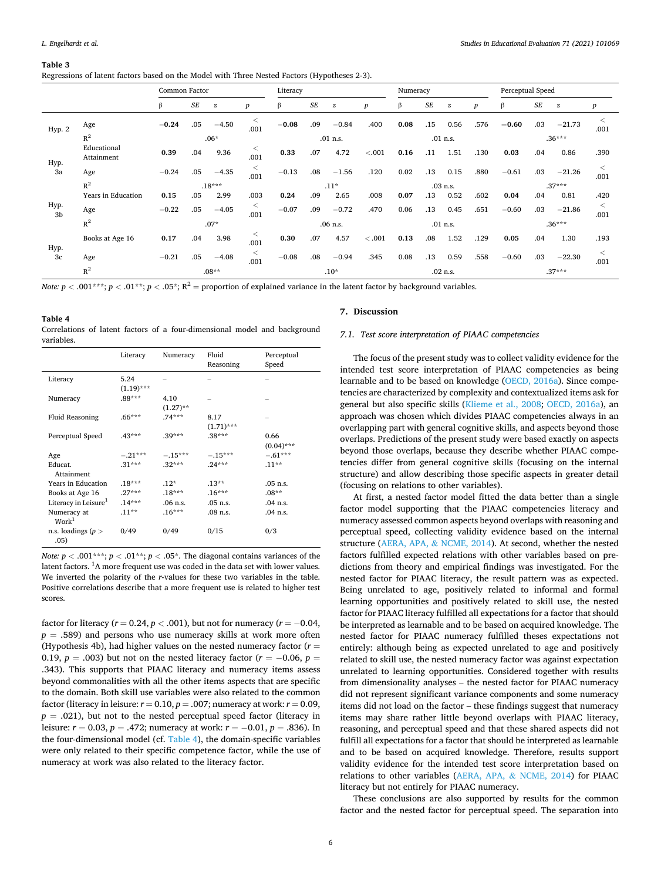#### <span id="page-5-0"></span>**Table 3**

Regressions of latent factors based on the Model with Three Nested Factors (Hypotheses 2-3).

|            |                           | Common Factor |        |                  |                  | Literacy |           |                  |                  | Numeracy |           |            |                  | Perceptual Speed |           |                  |                  |
|------------|---------------------------|---------------|--------|------------------|------------------|----------|-----------|------------------|------------------|----------|-----------|------------|------------------|------------------|-----------|------------------|------------------|
|            |                           | β             | $S\!E$ | $\boldsymbol{z}$ | $\boldsymbol{p}$ |          | <b>SE</b> | $\boldsymbol{z}$ | $\boldsymbol{p}$ | β        | <b>SE</b> | z          | $\boldsymbol{p}$ | ß                | <b>SE</b> | $\boldsymbol{z}$ | $\boldsymbol{p}$ |
| Hyp. 2     | Age                       | $-0.24$       | .05    | $-4.50$          | $\,<$<br>.001    | $-0.08$  | .09       | $-0.84$          | .400             | 0.08     | .15       | 0.56       | .576             | $-0.60$          | .03       | $-21.73$         | $\,<\,$<br>.001  |
|            | $R^2$                     |               |        | $.06*$           |                  |          |           | $.01$ n.s.       |                  |          |           | $.01$ n.s. |                  |                  |           | $.36***$         |                  |
| Hyp.       | Educational<br>Attainment | 0.39          | .04    | 9.36             | $\,<$<br>.001    | 0.33     | .07       | 4.72             | < .001           | 0.16     | .11       | 1.51       | .130             | 0.03             | .04       | 0.86             | .390             |
| 3a         | Age                       | $-0.24$       | .05    | $-4.35$          | $\,<$<br>.001    | $-0.13$  | .08       | $-1.56$          | .120             | 0.02     | .13       | 0.15       | .880             | $-0.61$          | .03       | $-21.26$         | $\,<\,$<br>.001  |
|            | $R^2$                     |               |        | $.18***$         |                  |          |           | $.11*$           |                  |          |           | $.03$ n.s. |                  |                  |           | $.37***$         |                  |
|            | Years in Education        | 0.15          | .05    | 2.99             | .003             | 0.24     | .09       | 2.65             | .008             | 0.07     | .13       | 0.52       | .602             | 0.04             | .04       | 0.81             | .420             |
| Hyp.<br>3b | Age                       | $-0.22$       | .05    | $-4.05$          | $\,<$<br>.001    | $-0.07$  | .09       | $-0.72$          | .470             | 0.06     | .13       | 0.45       | .651             | $-0.60$          | .03       | $-21.86$         | $\,<\,$<br>.001  |
|            | $R^2$                     |               |        | $.07*$           |                  |          |           | $.06$ n.s.       |                  |          |           | $.01$ n.s. |                  |                  |           | $.36***$         |                  |
|            | Books at Age 16           | 0.17          | .04    | 3.98             | ≺<br>.001        | 0.30     | .07       | 4.57             | < 0.001          | 0.13     | .08       | 1.52       | .129             | 0.05             | .04       | 1.30             | .193             |
| Hyp.<br>3c | Age                       | $-0.21$       | .05    | $-4.08$          | $\,<$<br>.001    | $-0.08$  | .08       | $-0.94$          | .345             | 0.08     | .13       | 0.59       | .558             | $-0.60$          | .03       | $-22.30$         | $\,<\,$<br>.001  |
|            | $R^2$                     |               |        | $.08**$          |                  |          |           | $.10*$           |                  |          |           | $.02$ n.s. |                  |                  |           | $.37***$         |                  |

*Note: p* < .001\*\*\*;  $p$  < .01\*\*;  $p$  < .05\*;  $R^2$  = proportion of explained variance in the latent factor by background variables.

## **Table 4**

Correlations of latent factors of a four-dimensional model and background variables.

|                                  | Literacy     | Numeracy    | Fluid<br>Reasoning | Perceptual<br>Speed |
|----------------------------------|--------------|-------------|--------------------|---------------------|
| Literacy                         | 5.24         |             |                    |                     |
|                                  | $(1.19)$ *** |             |                    |                     |
| Numeracy                         | $.88***$     | 4.10        |                    |                     |
|                                  |              | $(1.27)$ ** |                    |                     |
| <b>Fluid Reasoning</b>           | $.66***$     | $.74***$    | 8.17               |                     |
|                                  |              |             | $(1.71)$ ***       |                     |
| Perceptual Speed                 | $.43***$     | $.39***$    | $.38***$           | 0.66                |
|                                  |              |             |                    | $(0.04)$ ***        |
| Age                              | $-.21***$    | $-.15***$   | $-.15***$          | $-.61***$           |
| Educat.                          | $.31***$     | $.32***$    | $.24***$           | $.11**$             |
| Attainment                       |              |             |                    |                     |
| Years in Education               | $.18***$     | $.12*$      | $.13***$           | $.05$ n.s.          |
| Books at Age 16                  | $.27***$     | $.18***$    | $.16***$           | $.08**$             |
| Literacy in Leisure <sup>1</sup> | $.14***$     | $.06$ n.s.  | .05 n.s.           | .04 n.s.            |
| Numeracy at<br>Work <sup>1</sup> | $.11**$      | $.16***$    | $.08$ n.s.         | .04 n.s.            |
| n.s. loadings ( $p >$<br>.05)    | 0/49         | 0/49        | 0/15               | 0/3                 |

*Note: p <* .001\*\*\*;  $p < 0.01$ \*\*;  $p < 0.05$ \*. The diagonal contains variances of the latent factors. <sup>1</sup>A more frequent use was coded in the data set with lower values. We inverted the polarity of the *r*-values for these two variables in the table. Positive correlations describe that a more frequent use is related to higher test scores.

factor for literacy ( $r = 0.24$ ,  $p < .001$ ), but not for numeracy ( $r = -0.04$ ,  $p = .589$ ) and persons who use numeracy skills at work more often (Hypothesis 4b), had higher values on the nested numeracy factor  $(r =$ 0.19,  $p = .003$ ) but not on the nested literacy factor ( $r = -0.06$ ,  $p =$ .343). This supports that PIAAC literacy and numeracy items assess beyond commonalities with all the other items aspects that are specific to the domain. Both skill use variables were also related to the common factor (literacy in leisure:  $r = 0.10$ ,  $p = .007$ ; numeracy at work:  $r = 0.09$ ,  $p = .021$ ), but not to the nested perceptual speed factor (literacy in leisure:  $r = 0.03$ ,  $p = .472$ ; numeracy at work:  $r = -0.01$ ,  $p = .836$ ). In the four-dimensional model (cf. Table 4), the domain-specific variables were only related to their specific competence factor, while the use of numeracy at work was also related to the literacy factor.

#### **7. Discussion**

## *7.1. Test score interpretation of PIAAC competencies*

The focus of the present study was to collect validity evidence for the intended test score interpretation of PIAAC competencies as being learnable and to be based on knowledge [\(OECD, 2016a](#page-8-0)). Since competencies are characterized by complexity and contextualized items ask for general but also specific skills ([Klieme et al., 2008;](#page-8-0) [OECD, 2016a](#page-8-0)), an approach was chosen which divides PIAAC competencies always in an overlapping part with general cognitive skills, and aspects beyond those overlaps. Predictions of the present study were based exactly on aspects beyond those overlaps, because they describe whether PIAAC competencies differ from general cognitive skills (focusing on the internal structure) and allow describing those specific aspects in greater detail (focusing on relations to other variables).

At first, a nested factor model fitted the data better than a single factor model supporting that the PIAAC competencies literacy and numeracy assessed common aspects beyond overlaps with reasoning and perceptual speed, collecting validity evidence based on the internal structure (AERA, APA, & [NCME, 2014\)](#page-7-0). At second, whether the nested factors fulfilled expected relations with other variables based on predictions from theory and empirical findings was investigated. For the nested factor for PIAAC literacy, the result pattern was as expected. Being unrelated to age, positively related to informal and formal learning opportunities and positively related to skill use, the nested factor for PIAAC literacy fulfilled all expectations for a factor that should be interpreted as learnable and to be based on acquired knowledge. The nested factor for PIAAC numeracy fulfilled theses expectations not entirely: although being as expected unrelated to age and positively related to skill use, the nested numeracy factor was against expectation unrelated to learning opportunities. Considered together with results from dimensionality analyses – the nested factor for PIAAC numeracy did not represent significant variance components and some numeracy items did not load on the factor – these findings suggest that numeracy items may share rather little beyond overlaps with PIAAC literacy, reasoning, and perceptual speed and that these shared aspects did not fulfill all expectations for a factor that should be interpreted as learnable and to be based on acquired knowledge. Therefore, results support validity evidence for the intended test score interpretation based on relations to other variables (AERA, APA, & [NCME, 2014\)](#page-7-0) for PIAAC literacy but not entirely for PIAAC numeracy.

These conclusions are also supported by results for the common factor and the nested factor for perceptual speed. The separation into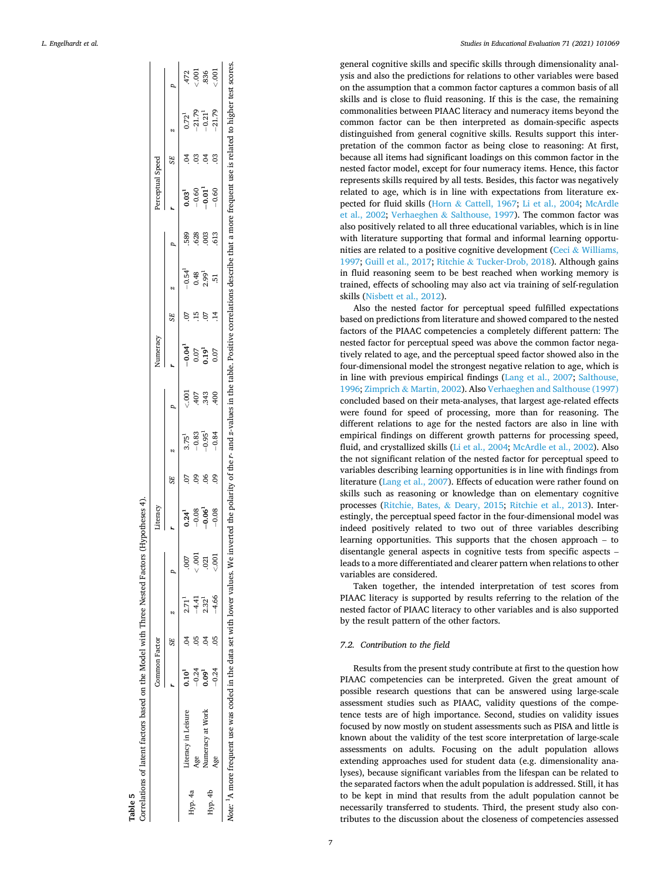<span id="page-6-0"></span>

|  | L. Engelhardt et al. |  |
|--|----------------------|--|
|--|----------------------|--|

|         |                                                                            | Common Factor |                 |                   |         | iteracy     |                |                                 |                 | Vumeracy                                                                                                |                |                   |      | Perceptual Speed |   |                                                   |                                     |
|---------|----------------------------------------------------------------------------|---------------|-----------------|-------------------|---------|-------------|----------------|---------------------------------|-----------------|---------------------------------------------------------------------------------------------------------|----------------|-------------------|------|------------------|---|---------------------------------------------------|-------------------------------------|
|         |                                                                            |               | SE <sup>-</sup> |                   |         |             |                |                                 |                 |                                                                                                         |                |                   |      |                  |   |                                                   |                                     |
|         | Literacy in Leisure                                                        | $0.10^{1}$    |                 | 2.71 <sup>1</sup> |         | 0.24        |                | $3.75^{1}$                      | $\frac{100}{2}$ | $-0.04^{1}$                                                                                             | $\ddot{\circ}$ | $-0.54^{1}$       | 589  | $0.03^{1}$       |   |                                                   |                                     |
| Hyp. 4a |                                                                            |               |                 | $-4.41$           | 000.    | $-0.08$     |                |                                 | .407            | 0.07                                                                                                    |                | 0.48              | 628  | $-0.60$          |   |                                                   |                                     |
|         | Vumeracy at Work                                                           | $-0.24$       |                 | $2.32^{1}$        | 021     | $-0.06^{1}$ |                | $-0.83$<br>$-0.95$ <sup>1</sup> | .343            | $\frac{1}{2}$                                                                                           |                | 2.99 <sup>1</sup> | 003  | $-0.01$          |   | $0.721$<br>-21.79<br>-0.21 <sup>1</sup><br>-21.79 | $472$<br>$-301$<br>$-301$<br>$-301$ |
| Hyp. 4b | Age                                                                        | $-0.24$       |                 | $-4.66$           | $500 -$ | $-0.08$     | $\overline{0}$ | $-0.84$                         | .400            | 0.07                                                                                                    |                | 51                | .613 | $-0.60$          | 3 |                                                   |                                     |
|         | lote: 'A more frequent use was coded in the data set with lower values. We |               |                 |                   |         |             |                |                                 |                 | d the polarity of the r- and z-values in the table. Positive correlations describe that a more frequent |                |                   |      |                  |   | use is related to higher                          |                                     |

**Table 5** 

Correlations of latent factors based on the Model with Three Nested Factors (Hypotheses 4).

Correlations of latent factors based on the Model with Three Nested Factors (Hypotheses 4)

*Studies in Educational Evaluation 71 (2021) 101069*

general cognitive skills and specific skills through dimensionality analysis and also the predictions for relations to other variables were based on the assumption that a common factor captures a common basis of all skills and is close to fluid reasoning. If this is the case, the remaining commonalities between PIAAC literacy and numeracy items beyond the common factor can be then interpreted as domain-specific aspects distinguished from general cognitive skills. Results support this interpretation of the common factor as being close to reasoning: At first, because all items had significant loadings on this common factor in the nested factor model, except for four numeracy items. Hence, this factor represents skills required by all tests. Besides, this factor was negatively related to age, which is in line with expectations from literature expected for fluid skills (Horn & [Cattell, 1967;](#page-7-0) [Li et al., 2004](#page-8-0); [McArdle](#page-8-0)  [et al., 2002;](#page-8-0) Verhaeghen & [Salthouse, 1997](#page-8-0)). The common factor was also positively related to all three educational variables, which is in line with literature supporting that formal and informal learning opportunities are related to a positive cognitive development (Ceci & Williams, [1997; Guill et al., 2017](#page-7-0); Ritchie & [Tucker-Drob, 2018\)](#page-8-0). Although gains in fluid reasoning seem to be best reached when working memory is trained, effects of schooling may also act via training of self-regulation skills ([Nisbett et al., 2012](#page-8-0)).

Also the nested factor for perceptual speed fulfilled expectations based on predictions from literature and showed compared to the nested factors of the PIAAC competencies a completely different pattern: The nested factor for perceptual speed was above the common factor negatively related to age, and the perceptual speed factor showed also in the four-dimensional model the strongest negative relation to age, which is in line with previous empirical findings [\(Lang et al., 2007](#page-8-0); [Salthouse,](#page-8-0)  [1996;](#page-8-0) Zimprich & [Martin, 2002\)](#page-8-0). Also [Verhaeghen and Salthouse \(1997\)](#page-8-0)  concluded based on their meta-analyses, that largest age-related effects were found for speed of processing, more than for reasoning. The different relations to age for the nested factors are also in line with empirical findings on different growth patterns for processing speed, fluid, and crystallized skills ([Li et al., 2004; McArdle et al., 2002\)](#page-8-0). Also the not significant relation of the nested factor for perceptual speed to variables describing learning opportunities is in line with findings from literature ([Lang et al., 2007\)](#page-8-0). Effects of education were rather found on skills such as reasoning or knowledge than on elementary cognitive processes ([Ritchie, Bates,](#page-8-0) & Deary, 2015; [Ritchie et al., 2013\)](#page-8-0). Interestingly, the perceptual speed factor in the four-dimensional model was indeed positively related to two out of three variables describing learning opportunities. This supports that the chosen approach – to disentangle general aspects in cognitive tests from specific aspects – leads to a more differentiated and clearer pattern when relations to other variables are considered.

Taken together, the intended interpretation of test scores from PIAAC literacy is supported by results referring to the relation of the nested factor of PIAAC literacy to other variables and is also supported by the result pattern of the other factors.

## *7.2. Contribution to the field*

Results from the present study contribute at first to the question how PIAAC competencies can be interpreted. Given the great amount of possible research questions that can be answered using large-scale assessment studies such as PIAAC, validity questions of the competence tests are of high importance. Second, studies on validity issues focused by now mostly on student assessments such as PISA and little is known about the validity of the test score interpretation of large-scale assessments on adults. Focusing on the adult population allows extending approaches used for student data (e.g. dimensionality analyses), because significant variables from the lifespan can be related to the separated factors when the adult population is addressed. Still, it has to be kept in mind that results from the adult population cannot be necessarily transferred to students. Third, the present study also contributes to the discussion about the closeness of competencies assessed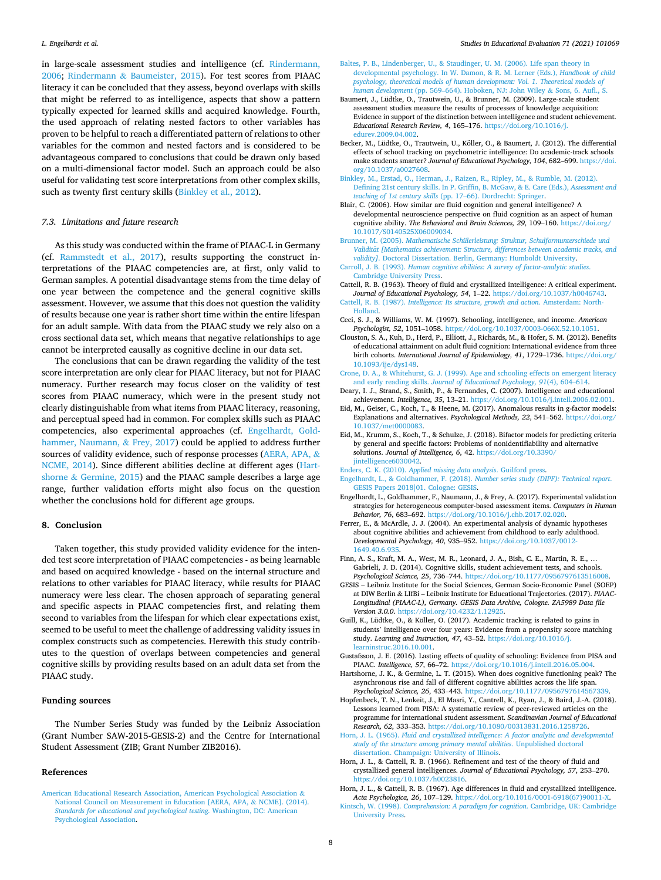<span id="page-7-0"></span>in large-scale assessment studies and intelligence (cf. [Rindermann,](#page-8-0)  [2006;](#page-8-0) Rindermann & [Baumeister, 2015\)](#page-8-0). For test scores from PIAAC literacy it can be concluded that they assess, beyond overlaps with skills that might be referred to as intelligence, aspects that show a pattern typically expected for learned skills and acquired knowledge. Fourth, the used approach of relating nested factors to other variables has proven to be helpful to reach a differentiated pattern of relations to other variables for the common and nested factors and is considered to be advantageous compared to conclusions that could be drawn only based on a multi-dimensional factor model. Such an approach could be also useful for validating test score interpretations from other complex skills, such as twenty first century skills (Binkley et al., 2012).

## *7.3. Limitations and future research*

As this study was conducted within the frame of PIAAC-L in Germany (cf. [Rammstedt et al., 2017](#page-8-0)), results supporting the construct interpretations of the PIAAC competencies are, at first, only valid to German samples. A potential disadvantage stems from the time delay of one year between the competence and the general cognitive skills assessment. However, we assume that this does not question the validity of results because one year is rather short time within the entire lifespan for an adult sample. With data from the PIAAC study we rely also on a cross sectional data set, which means that negative relationships to age cannot be interpreted causally as cognitive decline in our data set.

The conclusions that can be drawn regarding the validity of the test score interpretation are only clear for PIAAC literacy, but not for PIAAC numeracy. Further research may focus closer on the validity of test scores from PIAAC numeracy, which were in the present study not clearly distinguishable from what items from PIAAC literacy, reasoning, and perceptual speed had in common. For complex skills such as PIAAC competencies, also experimental approaches (cf. Engelhardt, Goldhammer, Naumann, & Frey, 2017) could be applied to address further sources of validity evidence, such of response processes (AERA, APA, & NCME, 2014). Since different abilities decline at different ages (Hartshorne & Germine, 2015) and the PIAAC sample describes a large age range, further validation efforts might also focus on the question whether the conclusions hold for different age groups.

#### **8. Conclusion**

Taken together, this study provided validity evidence for the intended test score interpretation of PIAAC competencies - as being learnable and based on acquired knowledge - based on the internal structure and relations to other variables for PIAAC literacy, while results for PIAAC numeracy were less clear. The chosen approach of separating general and specific aspects in PIAAC competencies first, and relating them second to variables from the lifespan for which clear expectations exist, seemed to be useful to meet the challenge of addressing validity issues in complex constructs such as competencies. Herewith this study contributes to the question of overlaps between competencies and general cognitive skills by providing results based on an adult data set from the PIAAC study.

## **Funding sources**

The Number Series Study was funded by the Leibniz Association (Grant Number SAW-2015-GESIS-2) and the Centre for International Student Assessment (ZIB; Grant Number ZIB2016).

#### **References**

[American Educational Research Association, American Psychological Association](http://refhub.elsevier.com/S0191-491X(21)00095-X/sbref0005) & [National Council on Measurement in Education \[AERA, APA,](http://refhub.elsevier.com/S0191-491X(21)00095-X/sbref0005) & NCME]. (2014). *[Standards for educational and psychological testing](http://refhub.elsevier.com/S0191-491X(21)00095-X/sbref0005)*. Washington, DC: American [Psychological Association](http://refhub.elsevier.com/S0191-491X(21)00095-X/sbref0005).

- [Baltes, P. B., Lindenberger, U., & Staudinger, U. M. \(2006\). Life span theory in](http://refhub.elsevier.com/S0191-491X(21)00095-X/sbref0010)  [developmental psychology. In W. Damon, & R. M. Lerner \(Eds.\),](http://refhub.elsevier.com/S0191-491X(21)00095-X/sbref0010) *Handbook of child [psychology, theoretical models of human development: Vol. 1. Theoretical models of](http://refhub.elsevier.com/S0191-491X(21)00095-X/sbref0010) human development* (pp. 569–[664\). Hoboken, NJ: John Wiley](http://refhub.elsevier.com/S0191-491X(21)00095-X/sbref0010) & Sons, 6. Aufl., S.
- Baumert, J., Lüdtke, O., Trautwein, U., & Brunner, M. (2009). Large-scale student assessment studies measure the results of processes of knowledge acquisition: Evidence in support of the distinction between intelligence and student achievement. *Educational Research Review, 4*, 165–176. [https://doi.org/10.1016/j.](https://doi.org/10.1016/j.edurev.2009.04.002) [edurev.2009.04.002.](https://doi.org/10.1016/j.edurev.2009.04.002)
- Becker, M., Lüdtke, O., Trautwein, U., Köller, O., & Baumert, J. (2012). The differential effects of school tracking on psychometric intelligence: Do academic-track schools make students smarter? *Journal of Educational Psychology, 104*, 682–699. [https://doi.](https://doi.org/10.1037/a0027608)  [org/10.1037/a0027608.](https://doi.org/10.1037/a0027608)
- [Binkley, M., Erstad, O., Herman, J., Raizen, R., Ripley, M., & Rumble, M. \(2012\).](http://refhub.elsevier.com/S0191-491X(21)00095-X/sbref0025)  [Defining 21st century skills. In P. Griffin, B. McGaw, & E. Care \(Eds.\),](http://refhub.elsevier.com/S0191-491X(21)00095-X/sbref0025) *Assessment and [teaching of 1st century skills](http://refhub.elsevier.com/S0191-491X(21)00095-X/sbref0025)* (pp. 17–66). Dordrecht: Springer.
- Blair, C. (2006). How similar are fluid cognition and general intelligence? A developmental neuroscience perspective on fluid cognition as an aspect of human cognitive ability. *The Behavioral and Brain Sciences, 29*, 109–160. [https://doi.org/](https://doi.org/10.1017/S0140525X06009034)  [10.1017/S0140525X06009034](https://doi.org/10.1017/S0140525X06009034).
- Brunner, M. (2005). *[Mathematische Schülerleistung: Struktur, Schulformunterschiede und](http://refhub.elsevier.com/S0191-491X(21)00095-X/sbref0035) Validität [Mathematics achievement: Structure, differences between academic tracks, and validity]*[. Doctoral Dissertation. Berlin, Germany: Humboldt University.](http://refhub.elsevier.com/S0191-491X(21)00095-X/sbref0035)
- Carroll, J. B. (1993). *[Human cognitive abilities: A survey of factor-analytic studies](http://refhub.elsevier.com/S0191-491X(21)00095-X/sbref0040)*. [Cambridge University Press](http://refhub.elsevier.com/S0191-491X(21)00095-X/sbref0040).
- Cattell, R. B. (1963). Theory of fluid and crystallized intelligence: A critical experiment. *Journal of Educational Psychology, 54*, 1–22. [https://doi.org/10.1037/h0046743.](https://doi.org/10.1037/h0046743)
- Cattell, R. B. (1987). *[Intelligence: Its structure, growth and action](http://refhub.elsevier.com/S0191-491X(21)00095-X/sbref0050)*. Amsterdam: North-[Holland](http://refhub.elsevier.com/S0191-491X(21)00095-X/sbref0050).
- Ceci, S. J., & Williams, W. M. (1997). Schooling, intelligence, and income. *American Psychologist, 52*, 1051–1058. [https://doi.org/10.1037/0003-066X.52.10.1051.](https://doi.org/10.1037/0003-066X.52.10.1051)
- Clouston, S. A., Kuh, D., Herd, P., Elliott, J., Richards, M., & Hofer, S. M. (2012). Benefits of educational attainment on adult fluid cognition: International evidence from three birth cohorts. *International Journal of Epidemiology, 41*, 1729–1736. [https://doi.org/](https://doi.org/10.1093/ije/dys148)  [10.1093/ije/dys148](https://doi.org/10.1093/ije/dys148).
- [Crone, D. A., & Whitehurst, G. J. \(1999\). Age and schooling effects on emergent literacy](http://refhub.elsevier.com/S0191-491X(21)00095-X/sbref0065)  and early reading skills. *[Journal of Educational Psychology, 91](http://refhub.elsevier.com/S0191-491X(21)00095-X/sbref0065)*(4), 604–614.
- Deary, I. J., Strand, S., Smith, P., & Fernandes, C. (2007). Intelligence and educational achievement. *Intelligence, 35*, 13–21. [https://doi.org/10.1016/j.intell.2006.02.001.](https://doi.org/10.1016/j.intell.2006.02.001)
- Eid, M., Geiser, C., Koch, T., & Heene, M. (2017). Anomalous results in g-factor models: Explanations and alternatives. *Psychological Methods, 22*, 541–562. [https://doi.org/](https://doi.org/10.1037/met0000083) [10.1037/met0000083.](https://doi.org/10.1037/met0000083)
- Eid, M., Krumm, S., Koch, T., & Schulze, J. (2018). Bifactor models for predicting criteria by general and specific factors: Problems of nonidentifiability and alternative solutions. *Journal of Intelligence, 6*, 42. [https://doi.org/10.3390/](https://doi.org/10.3390/jintelligence6030042) iintelligence6030042.

Enders, C. K. (2010). *[Applied missing data analysis](http://refhub.elsevier.com/S0191-491X(21)00095-X/sbref0085)*. Guilford press.

- Engelhardt, L., & Goldhammer, F. (2018). *[Number series study \(DIPF\): Technical report](http://refhub.elsevier.com/S0191-491X(21)00095-X/sbref0090)*. [GESIS Papers 2018|01. Cologne: GESIS.](http://refhub.elsevier.com/S0191-491X(21)00095-X/sbref0090)
- Engelhardt, L., Goldhammer, F., Naumann, J., & Frey, A. (2017). Experimental validation strategies for heterogeneous computer-based assessment items. *Computers in Human Behavior, 76*, 683–692. [https://doi.org/10.1016/j.chb.2017.02.020.](https://doi.org/10.1016/j.chb.2017.02.020)
- Ferrer, E., & McArdle, J. J. (2004). An experimental analysis of dynamic hypotheses about cognitive abilities and achievement from childhood to early adulthood. *Developmental Psychology, 40*, 935–952. [https://doi.org/10.1037/0012-](https://doi.org/10.1037/0012-1649.40.6.935)  [1649.40.6.935.](https://doi.org/10.1037/0012-1649.40.6.935)
- Finn, A. S., Kraft, M. A., West, M. R., Leonard, J. A., Bish, C. E., Martin, R. E., … Gabrieli, J. D. (2014). Cognitive skills, student achievement tests, and schools. *Psychological Science, 25*, 736–744. [https://doi.org/10.1177/0956797613516008.](https://doi.org/10.1177/0956797613516008)
- GESIS Leibniz Institute for the Social Sciences, German Socio-Economic Panel (SOEP) at DIW Berlin & LIfBi – Leibniz Institute for Educational Trajectories. (2017). *PIAAC-Longitudinal (PIAAC-L), Germany. GESIS Data Archive, Cologne. ZA5989 Data file Version 3.0.0*. [https://doi.org/10.4232/1.12925.](https://doi.org/10.4232/1.12925)
- Guill, K., Lüdtke, O., & Köller, O. (2017). Academic tracking is related to gains in students' intelligence over four years: Evidence from a propensity score matching study. *Learning and Instruction, 47*, 43–52. [https://doi.org/10.1016/j.](https://doi.org/10.1016/j.learninstruc.2016.10.001) [learninstruc.2016.10.001.](https://doi.org/10.1016/j.learninstruc.2016.10.001)
- Gustafsson, J. E. (2016). Lasting effects of quality of schooling: Evidence from PISA and PIAAC. *Intelligence, 57*, 66–72. [https://doi.org/10.1016/j.intell.2016.05.004.](https://doi.org/10.1016/j.intell.2016.05.004)
- Hartshorne, J. K., & Germine, L. T. (2015). When does cognitive functioning peak? The asynchronous rise and fall of different cognitive abilities across the life span. *Psychological Science, 26*, 433–443. [https://doi.org/10.1177/0956797614567339.](https://doi.org/10.1177/0956797614567339)
- Hopfenbeck, T. N., Lenkeit, J., El Masri, Y., Cantrell, K., Ryan, J., & Baird, J.-A. (2018). Lessons learned from PISA: A systematic review of peer-reviewed articles on the programme for international student assessment. *Scandinavian Journal of Educational Research, 62*, 333–353. <https://doi.org/10.1080/00313831.2016.1258726>.
- Horn, J. L. (1965). *[Fluid and crystallized intelligence: A factor analytic and developmental](http://refhub.elsevier.com/S0191-491X(21)00095-X/sbref0135)  [study of the structure among primary mental abilities](http://refhub.elsevier.com/S0191-491X(21)00095-X/sbref0135)*. Unpublished doctoral [dissertation. Champaign: University of Illinois](http://refhub.elsevier.com/S0191-491X(21)00095-X/sbref0135).
- Horn, J. L., & Cattell, R. B. (1966). Refinement and test of the theory of fluid and crystallized general intelligences. *Journal of Educational Psychology, 57*, 253–270. <https://doi.org/10.1037/h0023816>.

Horn, J. L., & Cattell, R. B. (1967). Age differences in fluid and crystallized intelligence. *Acta Psychologica, 26*, 107–129. [https://doi.org/10.1016/0001-6918\(67\)90011-X](https://doi.org/10.1016/0001-6918(67)90011-X).

Kintsch, W. (1998). *[Comprehension: A paradigm for cognition](http://refhub.elsevier.com/S0191-491X(21)00095-X/sbref0150)*. Cambridge, UK: Cambridge [University Press](http://refhub.elsevier.com/S0191-491X(21)00095-X/sbref0150).